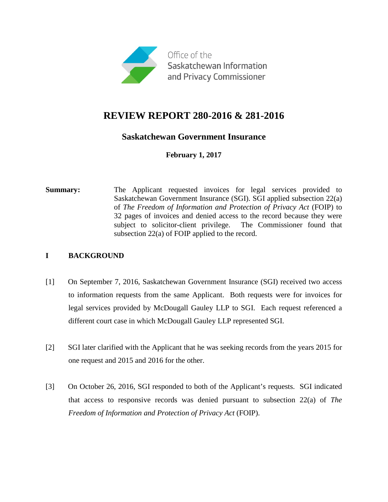

# **REVIEW REPORT 280-2016 & 281-2016**

# **Saskatchewan Government Insurance**

**February 1, 2017**

**Summary:** The Applicant requested invoices for legal services provided to Saskatchewan Government Insurance (SGI). SGI applied subsection 22(a) of *The Freedom of Information and Protection of Privacy Act* (FOIP) to 32 pages of invoices and denied access to the record because they were subject to solicitor-client privilege. The Commissioner found that subsection 22(a) of FOIP applied to the record.

### **I BACKGROUND**

- [1] On September 7, 2016, Saskatchewan Government Insurance (SGI) received two access to information requests from the same Applicant. Both requests were for invoices for legal services provided by McDougall Gauley LLP to SGI. Each request referenced a different court case in which McDougall Gauley LLP represented SGI.
- [2] SGI later clarified with the Applicant that he was seeking records from the years 2015 for one request and 2015 and 2016 for the other.
- [3] On October 26, 2016, SGI responded to both of the Applicant's requests. SGI indicated that access to responsive records was denied pursuant to subsection 22(a) of *The Freedom of Information and Protection of Privacy Act* (FOIP).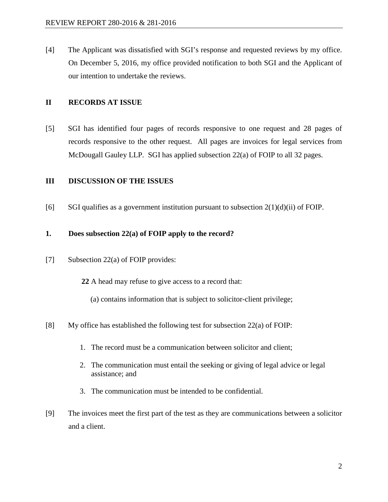[4] The Applicant was dissatisfied with SGI's response and requested reviews by my office. On December 5, 2016, my office provided notification to both SGI and the Applicant of our intention to undertake the reviews.

### **II RECORDS AT ISSUE**

[5] SGI has identified four pages of records responsive to one request and 28 pages of records responsive to the other request. All pages are invoices for legal services from McDougall Gauley LLP. SGI has applied subsection 22(a) of FOIP to all 32 pages.

#### **III DISCUSSION OF THE ISSUES**

[6] SGI qualifies as a government institution pursuant to subsection  $2(1)(d)(ii)$  of FOIP.

#### **1. Does subsection 22(a) of FOIP apply to the record?**

- [7] Subsection 22(a) of FOIP provides:
	- **22** A head may refuse to give access to a record that:
		- (a) contains information that is subject to solicitor-client privilege;
- [8] My office has established the following test for subsection 22(a) of FOIP:
	- 1. The record must be a communication between solicitor and client;
	- 2. The communication must entail the seeking or giving of legal advice or legal assistance; and
	- 3. The communication must be intended to be confidential.
- [9] The invoices meet the first part of the test as they are communications between a solicitor and a client.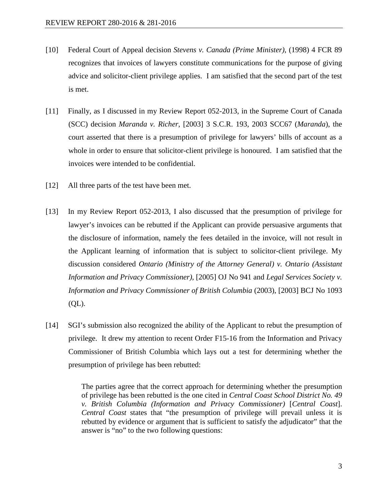- [10] Federal Court of Appeal decision *Stevens v. Canada (Prime Minister)*, (1998) 4 FCR 89 recognizes that invoices of lawyers constitute communications for the purpose of giving advice and solicitor-client privilege applies. I am satisfied that the second part of the test is met.
- [11] Finally, as I discussed in my Review Report 052-2013, in the Supreme Court of Canada (SCC) decision *Maranda v. Richer*, [2003] 3 S.C.R. 193, 2003 SCC67 (*Maranda*), the court asserted that there is a presumption of privilege for lawyers' bills of account as a whole in order to ensure that solicitor-client privilege is honoured. I am satisfied that the invoices were intended to be confidential.
- [12] All three parts of the test have been met.
- [13] In my Review Report 052-2013, I also discussed that the presumption of privilege for lawyer's invoices can be rebutted if the Applicant can provide persuasive arguments that the disclosure of information, namely the fees detailed in the invoice, will not result in the Applicant learning of information that is subject to solicitor-client privilege. My discussion considered *Ontario (Ministry of the Attorney General) v. Ontario (Assistant Information and Privacy Commissioner)*, [2005] OJ No 941 and *Legal Services Society v. Information and Privacy Commissioner of British Columbia* (2003), [2003] BCJ No 1093 (QL).
- [14] SGI's submission also recognized the ability of the Applicant to rebut the presumption of privilege. It drew my attention to recent Order F15-16 from the Information and Privacy Commissioner of British Columbia which lays out a test for determining whether the presumption of privilege has been rebutted:

The parties agree that the correct approach for determining whether the presumption of privilege has been rebutted is the one cited in *Central Coast School District No. 49 v. British Columbia (Information and Privacy Commissioner)* [*Central Coast*]. *Central Coast* states that "the presumption of privilege will prevail unless it is rebutted by evidence or argument that is sufficient to satisfy the adjudicator" that the answer is "no" to the two following questions: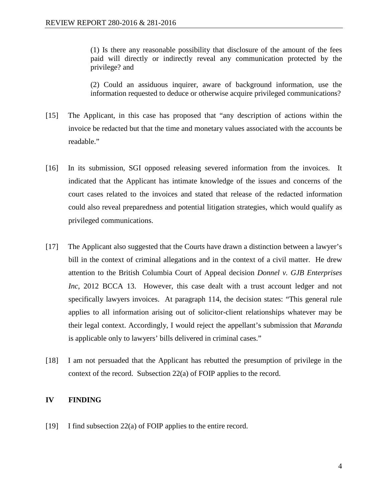(1) Is there any reasonable possibility that disclosure of the amount of the fees paid will directly or indirectly reveal any communication protected by the privilege? and

(2) Could an assiduous inquirer, aware of background information, use the information requested to deduce or otherwise acquire privileged communications?

- [15] The Applicant, in this case has proposed that "any description of actions within the invoice be redacted but that the time and monetary values associated with the accounts be readable."
- [16] In its submission, SGI opposed releasing severed information from the invoices. It indicated that the Applicant has intimate knowledge of the issues and concerns of the court cases related to the invoices and stated that release of the redacted information could also reveal preparedness and potential litigation strategies, which would qualify as privileged communications.
- [17] The Applicant also suggested that the Courts have drawn a distinction between a lawyer's bill in the context of criminal allegations and in the context of a civil matter. He drew attention to the British Columbia Court of Appeal decision *Donnel v. GJB Enterprises Inc*, 2012 BCCA 13. However, this case dealt with a trust account ledger and not specifically lawyers invoices. At paragraph 114, the decision states: "This general rule applies to all information arising out of solicitor-client relationships whatever may be their legal context. Accordingly, I would reject the appellant's submission that *Maranda* is applicable only to lawyers' bills delivered in criminal cases."
- [18] I am not persuaded that the Applicant has rebutted the presumption of privilege in the context of the record. Subsection 22(a) of FOIP applies to the record.

#### **IV FINDING**

[19] I find subsection 22(a) of FOIP applies to the entire record.